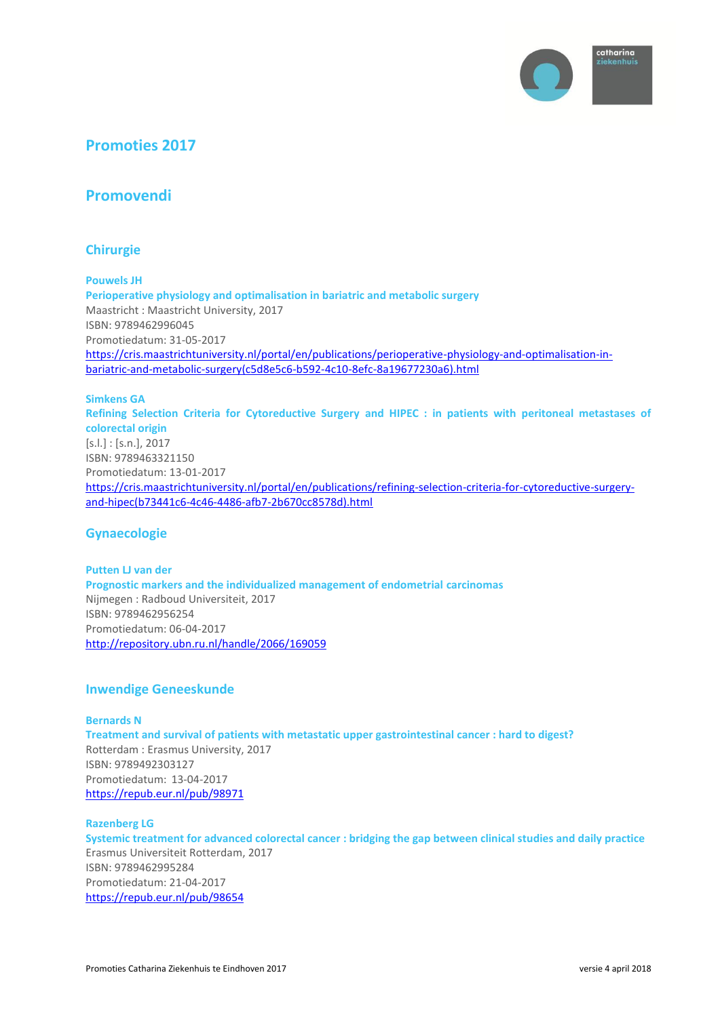

# **Promoties 2017**

# **Promovendi**

# **Chirurgie**

**Pouwels JH Perioperative physiology and optimalisation in bariatric and metabolic surgery** Maastricht : Maastricht University, 2017 ISBN: 9789462996045 Promotiedatum: 31-05-2017 [https://cris.maastrichtuniversity.nl/portal/en/publications/perioperative-physiology-and-optimalisation-in](https://cris.maastrichtuniversity.nl/portal/en/publications/perioperative-physiology-and-optimalisation-in-bariatric-and-metabolic-surgery(c5d8e5c6-b592-4c10-8efc-8a19677230a6).html)[bariatric-and-metabolic-surgery\(c5d8e5c6-b592-4c10-8efc-8a19677230a6\).html](https://cris.maastrichtuniversity.nl/portal/en/publications/perioperative-physiology-and-optimalisation-in-bariatric-and-metabolic-surgery(c5d8e5c6-b592-4c10-8efc-8a19677230a6).html)

### **Simkens GA**

**Refining Selection Criteria for Cytoreductive Surgery and HIPEC : in patients with peritoneal metastases of colorectal origin** [s.l.] : [s.n.], 2017 ISBN: 9789463321150 Promotiedatum: 13-01-2017 [https://cris.maastrichtuniversity.nl/portal/en/publications/refining-selection-criteria-for-cytoreductive-surgery](https://cris.maastrichtuniversity.nl/portal/en/publications/refining-selection-criteria-for-cytoreductive-surgery-and-hipec(b73441c6-4c46-4486-afb7-2b670cc8578d).html)[and-hipec\(b73441c6-4c46-4486-afb7-2b670cc8578d\).html](https://cris.maastrichtuniversity.nl/portal/en/publications/refining-selection-criteria-for-cytoreductive-surgery-and-hipec(b73441c6-4c46-4486-afb7-2b670cc8578d).html)

# **Gynaecologie**

#### **Putten LJ van der**

**Prognostic markers and the individualized management of endometrial carcinomas** Nijmegen : Radboud Universiteit, 2017 ISBN: 9789462956254 Promotiedatum: 06-04-2017 <http://repository.ubn.ru.nl/handle/2066/169059>

### **Inwendige Geneeskunde**

### **Bernards N**

**Treatment and survival of patients with metastatic upper gastrointestinal cancer : hard to digest?** Rotterdam : Erasmus University, 2017 ISBN: 9789492303127 Promotiedatum: 13-04-2017 <https://repub.eur.nl/pub/98971>

#### **Razenberg LG**

**Systemic treatment for advanced colorectal cancer : bridging the gap between clinical studies and daily practice** Erasmus Universiteit Rotterdam, 2017 ISBN: 9789462995284 Promotiedatum: 21-04-2017 <https://repub.eur.nl/pub/98654>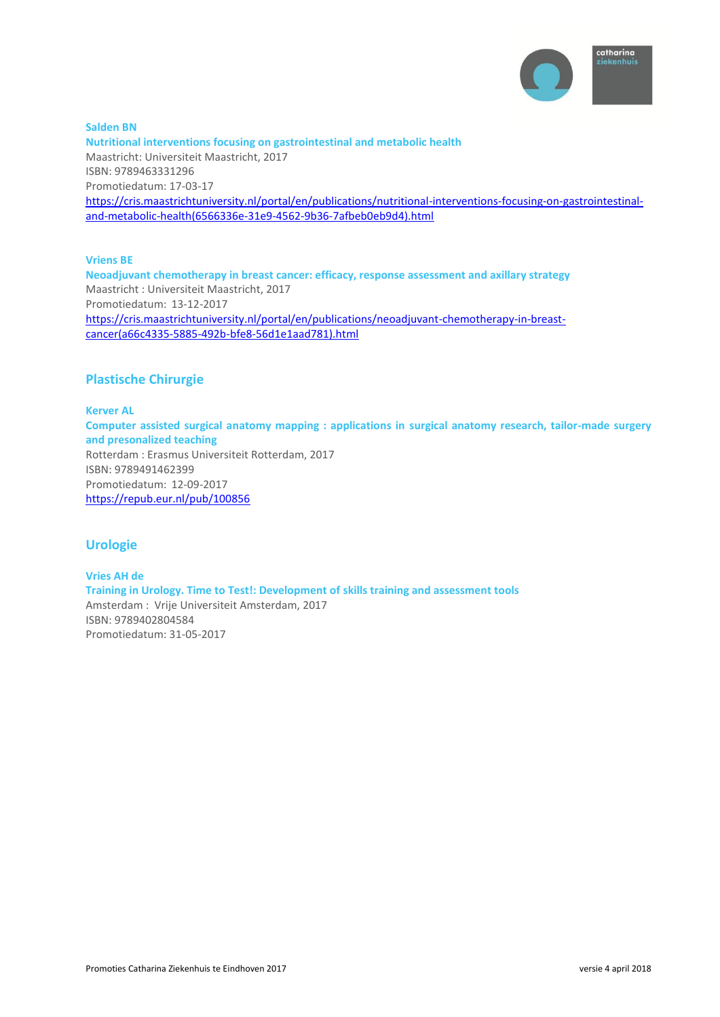

**Salden BN Nutritional interventions focusing on gastrointestinal and metabolic health** Maastricht: Universiteit Maastricht, 2017 ISBN: 9789463331296 Promotiedatum: 17-03-17 [https://cris.maastrichtuniversity.nl/portal/en/publications/nutritional-interventions-focusing-on-gastrointestinal](https://cris.maastrichtuniversity.nl/portal/en/publications/nutritional-interventions-focusing-on-gastrointestinal-and-metabolic-health(6566336e-31e9-4562-9b36-7afbeb0eb9d4).html)[and-metabolic-health\(6566336e-31e9-4562-9b36-7afbeb0eb9d4\).html](https://cris.maastrichtuniversity.nl/portal/en/publications/nutritional-interventions-focusing-on-gastrointestinal-and-metabolic-health(6566336e-31e9-4562-9b36-7afbeb0eb9d4).html)

**Vriens BE** 

**Neoadjuvant chemotherapy in breast cancer: efficacy, response assessment and axillary strategy** Maastricht : Universiteit Maastricht, 2017 Promotiedatum: 13-12-2017 [https://cris.maastrichtuniversity.nl/portal/en/publications/neoadjuvant-chemotherapy-in-breast](https://cris.maastrichtuniversity.nl/portal/en/publications/neoadjuvant-chemotherapy-in-breast-cancer(a66c4335-5885-492b-bfe8-56d1e1aad781).html)[cancer\(a66c4335-5885-492b-bfe8-56d1e1aad781\).html](https://cris.maastrichtuniversity.nl/portal/en/publications/neoadjuvant-chemotherapy-in-breast-cancer(a66c4335-5885-492b-bfe8-56d1e1aad781).html)

# **Plastische Chirurgie**

**Kerver AL Computer assisted surgical anatomy mapping : applications in surgical anatomy research, tailor-made surgery and presonalized teaching** Rotterdam : Erasmus Universiteit Rotterdam, 2017 ISBN: 9789491462399 Promotiedatum: 12-09-2017 <https://repub.eur.nl/pub/100856>

# **Urologie**

**Vries AH de Training in Urology. Time to Test!: Development of skills training and assessment tools** Amsterdam : Vrije Universiteit Amsterdam, 2017 ISBN: 9789402804584 Promotiedatum: 31-05-2017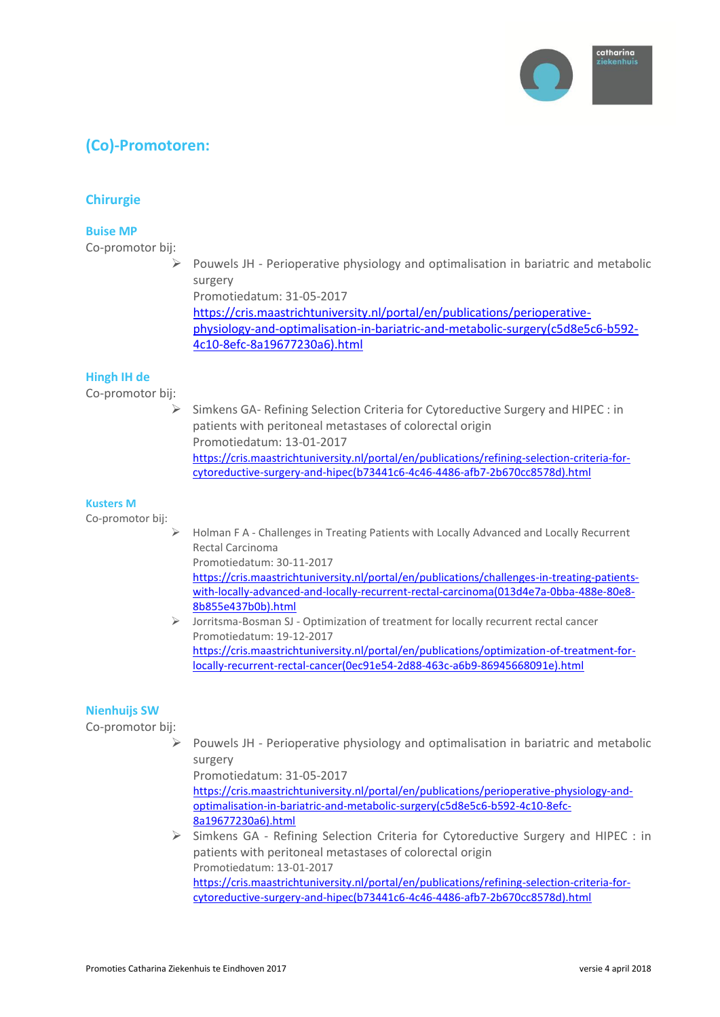

# **(Co)-Promotoren:**

# **Chirurgie**

### **Buise MP**

Co-promotor bij:

 $\triangleright$  Pouwels JH - Perioperative physiology and optimalisation in bariatric and metabolic surgery

Promotiedatum: 31-05-2017

[https://cris.maastrichtuniversity.nl/portal/en/publications/perioperative](https://cris.maastrichtuniversity.nl/portal/en/publications/perioperative-physiology-and-optimalisation-in-bariatric-and-metabolic-surgery(c5d8e5c6-b592-4c10-8efc-8a19677230a6).html)[physiology-and-optimalisation-in-bariatric-and-metabolic-surgery\(c5d8e5c6-b592-](https://cris.maastrichtuniversity.nl/portal/en/publications/perioperative-physiology-and-optimalisation-in-bariatric-and-metabolic-surgery(c5d8e5c6-b592-4c10-8efc-8a19677230a6).html) [4c10-8efc-8a19677230a6\).html](https://cris.maastrichtuniversity.nl/portal/en/publications/perioperative-physiology-and-optimalisation-in-bariatric-and-metabolic-surgery(c5d8e5c6-b592-4c10-8efc-8a19677230a6).html)

# **Hingh IH de**

Co-promotor bij:

 $\triangleright$  Simkens GA- Refining Selection Criteria for Cytoreductive Surgery and HIPEC : in patients with peritoneal metastases of colorectal origin Promotiedatum: 13-01-2017 [https://cris.maastrichtuniversity.nl/portal/en/publications/refining-selection-criteria-for](https://cris.maastrichtuniversity.nl/portal/en/publications/refining-selection-criteria-for-cytoreductive-surgery-and-hipec(b73441c6-4c46-4486-afb7-2b670cc8578d).html)[cytoreductive-surgery-and-hipec\(b73441c6-4c46-4486-afb7-2b670cc8578d\).html](https://cris.maastrichtuniversity.nl/portal/en/publications/refining-selection-criteria-for-cytoreductive-surgery-and-hipec(b73441c6-4c46-4486-afb7-2b670cc8578d).html)

### **Kusters M**

Co-promotor bij:

- Holman F A Challenges in Treating Patients with Locally Advanced and Locally Recurrent Rectal Carcinoma Promotiedatum: 30-11-2017 [https://cris.maastrichtuniversity.nl/portal/en/publications/challenges-in-treating-patients](https://cris.maastrichtuniversity.nl/portal/en/publications/challenges-in-treating-patients-with-locally-advanced-and-locally-recurrent-rectal-carcinoma(013d4e7a-0bba-488e-80e8-8b855e437b0b).html)[with-locally-advanced-and-locally-recurrent-rectal-carcinoma\(013d4e7a-0bba-488e-80e8-](https://cris.maastrichtuniversity.nl/portal/en/publications/challenges-in-treating-patients-with-locally-advanced-and-locally-recurrent-rectal-carcinoma(013d4e7a-0bba-488e-80e8-8b855e437b0b).html) [8b855e437b0b\).html](https://cris.maastrichtuniversity.nl/portal/en/publications/challenges-in-treating-patients-with-locally-advanced-and-locally-recurrent-rectal-carcinoma(013d4e7a-0bba-488e-80e8-8b855e437b0b).html)
- Jorritsma-Bosman SJ Optimization of treatment for locally recurrent rectal cancer Promotiedatum: 19-12-2017 [https://cris.maastrichtuniversity.nl/portal/en/publications/optimization-of-treatment-for](https://cris.maastrichtuniversity.nl/portal/en/publications/optimization-of-treatment-for-locally-recurrent-rectal-cancer(0ec91e54-2d88-463c-a6b9-86945668091e).html)[locally-recurrent-rectal-cancer\(0ec91e54-2d88-463c-a6b9-86945668091e\).html](https://cris.maastrichtuniversity.nl/portal/en/publications/optimization-of-treatment-for-locally-recurrent-rectal-cancer(0ec91e54-2d88-463c-a6b9-86945668091e).html)

# **Nienhuijs SW**

Co-promotor bij:

 $\triangleright$  Pouwels JH - Perioperative physiology and optimalisation in bariatric and metabolic surgery

Promotiedatum: 31-05-2017 [https://cris.maastrichtuniversity.nl/portal/en/publications/perioperative-physiology-and](https://cris.maastrichtuniversity.nl/portal/en/publications/perioperative-physiology-and-optimalisation-in-bariatric-and-metabolic-surgery(c5d8e5c6-b592-4c10-8efc-8a19677230a6).html)[optimalisation-in-bariatric-and-metabolic-surgery\(c5d8e5c6-b592-4c10-8efc-](https://cris.maastrichtuniversity.nl/portal/en/publications/perioperative-physiology-and-optimalisation-in-bariatric-and-metabolic-surgery(c5d8e5c6-b592-4c10-8efc-8a19677230a6).html)[8a19677230a6\).html](https://cris.maastrichtuniversity.nl/portal/en/publications/perioperative-physiology-and-optimalisation-in-bariatric-and-metabolic-surgery(c5d8e5c6-b592-4c10-8efc-8a19677230a6).html)

 $\triangleright$  Simkens GA - Refining Selection Criteria for Cytoreductive Surgery and HIPEC : in patients with peritoneal metastases of colorectal origin Promotiedatum: 13-01-2017 [https://cris.maastrichtuniversity.nl/portal/en/publications/refining-selection-criteria-for](https://cris.maastrichtuniversity.nl/portal/en/publications/refining-selection-criteria-for-cytoreductive-surgery-and-hipec(b73441c6-4c46-4486-afb7-2b670cc8578d).html)[cytoreductive-surgery-and-hipec\(b73441c6-4c46-4486-afb7-2b670cc8578d\).html](https://cris.maastrichtuniversity.nl/portal/en/publications/refining-selection-criteria-for-cytoreductive-surgery-and-hipec(b73441c6-4c46-4486-afb7-2b670cc8578d).html)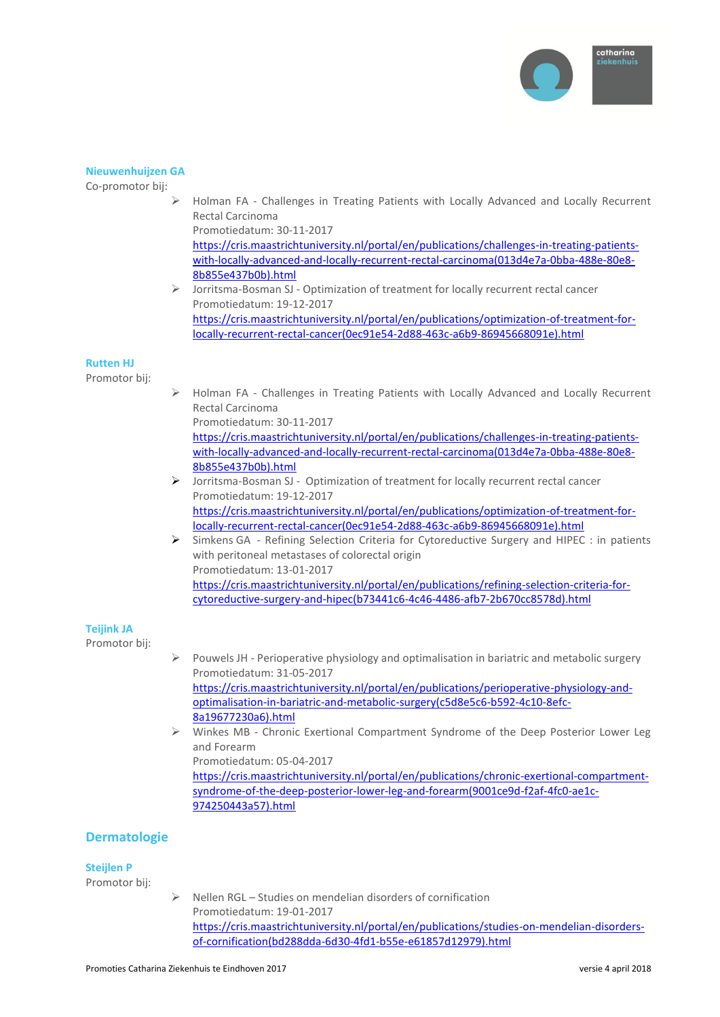

#### **Nieuwenhuijzen GA**

Co-promotor bij:

- Holman FA Challenges in Treating Patients with Locally Advanced and Locally Recurrent Rectal Carcinoma Promotiedatum: 30-11-2017 [https://cris.maastrichtuniversity.nl/portal/en/publications/challenges-in-treating-patients](https://cris.maastrichtuniversity.nl/portal/en/publications/challenges-in-treating-patients-with-locally-advanced-and-locally-recurrent-rectal-carcinoma(013d4e7a-0bba-488e-80e8-8b855e437b0b).html)[with-locally-advanced-and-locally-recurrent-rectal-carcinoma\(013d4e7a-0bba-488e-80e8-](https://cris.maastrichtuniversity.nl/portal/en/publications/challenges-in-treating-patients-with-locally-advanced-and-locally-recurrent-rectal-carcinoma(013d4e7a-0bba-488e-80e8-8b855e437b0b).html) [8b855e437b0b\).html](https://cris.maastrichtuniversity.nl/portal/en/publications/challenges-in-treating-patients-with-locally-advanced-and-locally-recurrent-rectal-carcinoma(013d4e7a-0bba-488e-80e8-8b855e437b0b).html)
- Jorritsma-Bosman SJ Optimization of treatment for locally recurrent rectal cancer Promotiedatum: 19-12-2017 [https://cris.maastrichtuniversity.nl/portal/en/publications/optimization-of-treatment-for](https://cris.maastrichtuniversity.nl/portal/en/publications/optimization-of-treatment-for-locally-recurrent-rectal-cancer(0ec91e54-2d88-463c-a6b9-86945668091e).html)[locally-recurrent-rectal-cancer\(0ec91e54-2d88-463c-a6b9-86945668091e\).html](https://cris.maastrichtuniversity.nl/portal/en/publications/optimization-of-treatment-for-locally-recurrent-rectal-cancer(0ec91e54-2d88-463c-a6b9-86945668091e).html)

#### **Rutten HJ**

Promotor bij:

 Holman FA - Challenges in Treating Patients with Locally Advanced and Locally Recurrent Rectal Carcinoma Promotiedatum: 30-11-2017

[https://cris.maastrichtuniversity.nl/portal/en/publications/challenges-in-treating-patients](https://cris.maastrichtuniversity.nl/portal/en/publications/challenges-in-treating-patients-with-locally-advanced-and-locally-recurrent-rectal-carcinoma(013d4e7a-0bba-488e-80e8-8b855e437b0b).html)[with-locally-advanced-and-locally-recurrent-rectal-carcinoma\(013d4e7a-0bba-488e-80e8-](https://cris.maastrichtuniversity.nl/portal/en/publications/challenges-in-treating-patients-with-locally-advanced-and-locally-recurrent-rectal-carcinoma(013d4e7a-0bba-488e-80e8-8b855e437b0b).html) [8b855e437b0b\).html](https://cris.maastrichtuniversity.nl/portal/en/publications/challenges-in-treating-patients-with-locally-advanced-and-locally-recurrent-rectal-carcinoma(013d4e7a-0bba-488e-80e8-8b855e437b0b).html)

- Jorritsma-Bosman SJ Optimization of treatment for locally recurrent rectal cancer Promotiedatum: 19-12-2017 [https://cris.maastrichtuniversity.nl/portal/en/publications/optimization-of-treatment-for](https://cris.maastrichtuniversity.nl/portal/en/publications/optimization-of-treatment-for-locally-recurrent-rectal-cancer(0ec91e54-2d88-463c-a6b9-86945668091e).html)[locally-recurrent-rectal-cancer\(0ec91e54-2d88-463c-a6b9-86945668091e\).html](https://cris.maastrichtuniversity.nl/portal/en/publications/optimization-of-treatment-for-locally-recurrent-rectal-cancer(0ec91e54-2d88-463c-a6b9-86945668091e).html)
- Simkens GA Refining Selection Criteria for Cytoreductive Surgery and HIPEC : in patients with peritoneal metastases of colorectal origin Promotiedatum: 13-01-2017 [https://cris.maastrichtuniversity.nl/portal/en/publications/refining-selection-criteria-for](https://cris.maastrichtuniversity.nl/portal/en/publications/refining-selection-criteria-for-cytoreductive-surgery-and-hipec(b73441c6-4c46-4486-afb7-2b670cc8578d).html)[cytoreductive-surgery-and-hipec\(b73441c6-4c46-4486-afb7-2b670cc8578d\).html](https://cris.maastrichtuniversity.nl/portal/en/publications/refining-selection-criteria-for-cytoreductive-surgery-and-hipec(b73441c6-4c46-4486-afb7-2b670cc8578d).html)

### **Teijink JA**

Promotor bij:

- $\triangleright$  Pouwels JH Perioperative physiology and optimalisation in bariatric and metabolic surgery Promotiedatum: 31-05-2017 [https://cris.maastrichtuniversity.nl/portal/en/publications/perioperative-physiology-and](https://cris.maastrichtuniversity.nl/portal/en/publications/perioperative-physiology-and-optimalisation-in-bariatric-and-metabolic-surgery(c5d8e5c6-b592-4c10-8efc-8a19677230a6).html)[optimalisation-in-bariatric-and-metabolic-surgery\(c5d8e5c6-b592-4c10-8efc-](https://cris.maastrichtuniversity.nl/portal/en/publications/perioperative-physiology-and-optimalisation-in-bariatric-and-metabolic-surgery(c5d8e5c6-b592-4c10-8efc-8a19677230a6).html)[8a19677230a6\).html](https://cris.maastrichtuniversity.nl/portal/en/publications/perioperative-physiology-and-optimalisation-in-bariatric-and-metabolic-surgery(c5d8e5c6-b592-4c10-8efc-8a19677230a6).html)
- $\triangleright$  Winkes MB Chronic Exertional Compartment Syndrome of the Deep Posterior Lower Leg and Forearm Promotiedatum: 05-04-2017 [https://cris.maastrichtuniversity.nl/portal/en/publications/chronic-exertional-compartment](https://cris.maastrichtuniversity.nl/portal/en/publications/chronic-exertional-compartment-syndrome-of-the-deep-posterior-lower-leg-and-forearm(9001ce9d-f2af-4fc0-ae1c-974250443a57).html)[syndrome-of-the-deep-posterior-lower-leg-and-forearm\(9001ce9d-f2af-4fc0-ae1c-](https://cris.maastrichtuniversity.nl/portal/en/publications/chronic-exertional-compartment-syndrome-of-the-deep-posterior-lower-leg-and-forearm(9001ce9d-f2af-4fc0-ae1c-974250443a57).html)

### **Dermatologie**

#### **Steijlen P**

Promotor bij:

 $\triangleright$  Nellen RGL – Studies on mendelian disorders of cornification Promotiedatum: 19-01-2017 [https://cris.maastrichtuniversity.nl/portal/en/publications/studies-on-mendelian-disorders](https://cris.maastrichtuniversity.nl/portal/en/publications/studies-on-mendelian-disorders-of-cornification(bd288dda-6d30-4fd1-b55e-e61857d12979).html)[of-cornification\(bd288dda-6d30-4fd1-b55e-e61857d12979\).html](https://cris.maastrichtuniversity.nl/portal/en/publications/studies-on-mendelian-disorders-of-cornification(bd288dda-6d30-4fd1-b55e-e61857d12979).html)

[974250443a57\).html](https://cris.maastrichtuniversity.nl/portal/en/publications/chronic-exertional-compartment-syndrome-of-the-deep-posterior-lower-leg-and-forearm(9001ce9d-f2af-4fc0-ae1c-974250443a57).html)